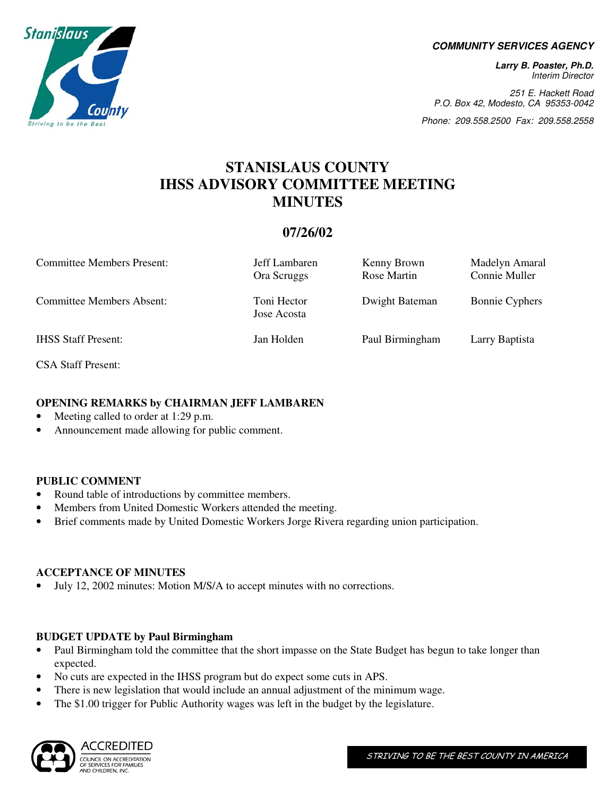**COMMUNITY SERVICES AGENCY** 

**Larry B. Poaster, Ph.D.**  Interim Director

251 E. Hackett Road P.O. Box 42, Modesto, CA 95353-0042

Phone: 209.558.2500 Fax: 209.558.2558

### **STANISLAUS COUNTY IHSS ADVISORY COMMITTEE MEETING MINUTES**

#### **07/26/02**

| <b>Committee Members Present:</b> | Jeff Lambaren<br>Ora Scruggs | Kenny Brown<br>Rose Martin | Madelyn Amaral<br>Connie Muller |
|-----------------------------------|------------------------------|----------------------------|---------------------------------|
| <b>Committee Members Absent:</b>  | Toni Hector<br>Jose Acosta   | Dwight Bateman             | <b>Bonnie Cyphers</b>           |
| <b>IHSS Staff Present:</b>        | Jan Holden                   | Paul Birmingham            | Larry Baptista                  |

CSA Staff Present:

#### **OPENING REMARKS by CHAIRMAN JEFF LAMBAREN**

- Meeting called to order at 1:29 p.m.
- Announcement made allowing for public comment.

#### **PUBLIC COMMENT**

- Round table of introductions by committee members.
- Members from United Domestic Workers attended the meeting.
- Brief comments made by United Domestic Workers Jorge Rivera regarding union participation.

#### **ACCEPTANCE OF MINUTES**

• July 12, 2002 minutes: Motion M/S/A to accept minutes with no corrections.

#### **BUDGET UPDATE by Paul Birmingham**

- Paul Birmingham told the committee that the short impasse on the State Budget has begun to take longer than expected.
- No cuts are expected in the IHSS program but do expect some cuts in APS.
- There is new legislation that would include an annual adjustment of the minimum wage.
- The \$1.00 trigger for Public Authority wages was left in the budget by the legislature.



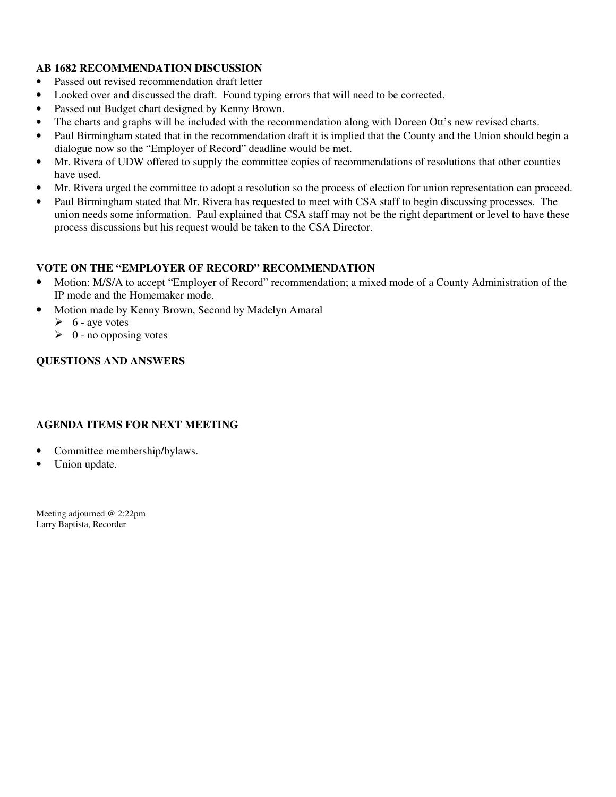#### **AB 1682 RECOMMENDATION DISCUSSION**

- Passed out revised recommendation draft letter
- Looked over and discussed the draft. Found typing errors that will need to be corrected.
- Passed out Budget chart designed by Kenny Brown.
- The charts and graphs will be included with the recommendation along with Doreen Ott's new revised charts.
- Paul Birmingham stated that in the recommendation draft it is implied that the County and the Union should begin a dialogue now so the "Employer of Record" deadline would be met.
- Mr. Rivera of UDW offered to supply the committee copies of recommendations of resolutions that other counties have used.
- Mr. Rivera urged the committee to adopt a resolution so the process of election for union representation can proceed.
- Paul Birmingham stated that Mr. Rivera has requested to meet with CSA staff to begin discussing processes. The union needs some information. Paul explained that CSA staff may not be the right department or level to have these process discussions but his request would be taken to the CSA Director.

#### **VOTE ON THE "EMPLOYER OF RECORD" RECOMMENDATION**

- Motion: M/S/A to accept "Employer of Record" recommendation; a mixed mode of a County Administration of the IP mode and the Homemaker mode.
- Motion made by Kenny Brown, Second by Madelyn Amaral
	- $\triangleright$  6 aye votes
	- $\geq 0$  no opposing votes

#### **QUESTIONS AND ANSWERS**

#### **AGENDA ITEMS FOR NEXT MEETING**

- Committee membership/bylaws.
- Union update.

Meeting adjourned @ 2:22pm Larry Baptista, Recorder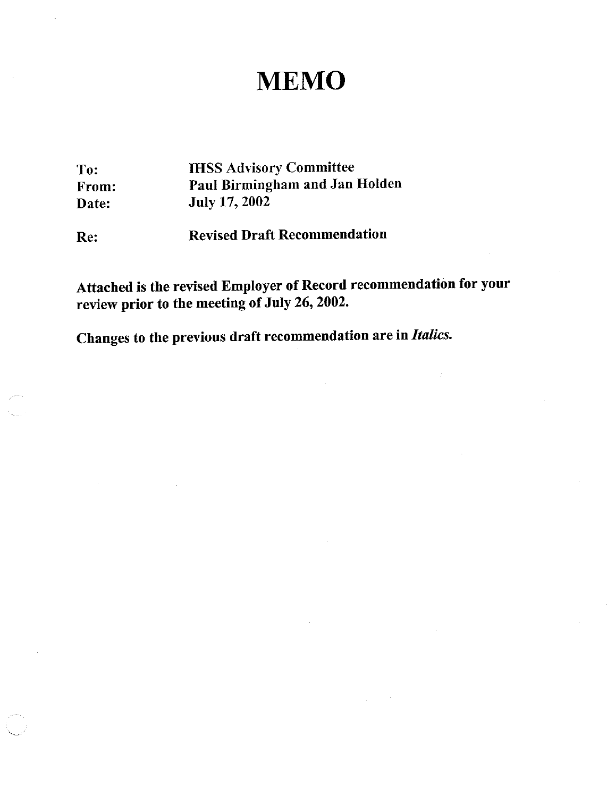## **MEMO**

To: From: Date:

**IHSS Advisory Committee** Paul Birmingham and Jan Holden July 17, 2002

**Revised Draft Recommendation** Re:

Attached is the revised Employer of Record recommendation for your review prior to the meeting of July 26, 2002.

Changes to the previous draft recommendation are in Italics.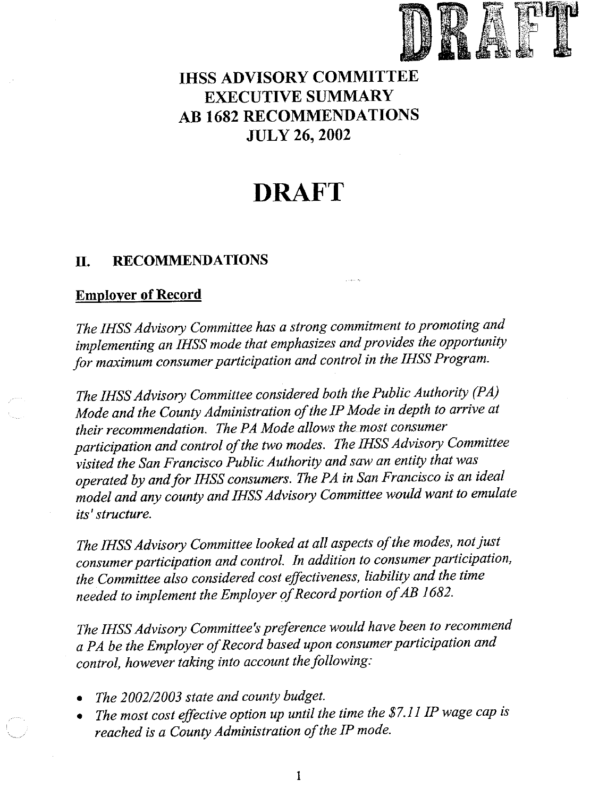

## **IHSS ADVISORY COMMITTEE EXECUTIVE SUMMARY AB 1682 RECOMMENDATIONS JULY 26, 2002**

# **DRAFT**

#### **RECOMMENDATIONS** П.

### **Employer of Record**

The IHSS Advisory Committee has a strong commitment to promoting and implementing an IHSS mode that emphasizes and provides the opportunity for maximum consumer participation and control in the IHSS Program.

The IHSS Advisory Committee considered both the Public Authority (PA) Mode and the County Administration of the IP Mode in depth to arrive at their recommendation. The PA Mode allows the most consumer participation and control of the two modes. The IHSS Advisory Committee visited the San Francisco Public Authority and saw an entity that was operated by and for IHSS consumers. The PA in San Francisco is an ideal model and any county and IHSS Advisory Committee would want to emulate its' structure.

The IHSS Advisory Committee looked at all aspects of the modes, not just consumer participation and control. In addition to consumer participation, the Committee also considered cost effectiveness, liability and the time needed to implement the Employer of Record portion of AB 1682.

The IHSS Advisory Committee's preference would have been to recommend a PA be the Employer of Record based upon consumer participation and control, however taking into account the following:

- The 2002/2003 state and county budget.
- The most cost effective option up until the time the \$7.11 IP wage cap is reached is a County Administration of the IP mode.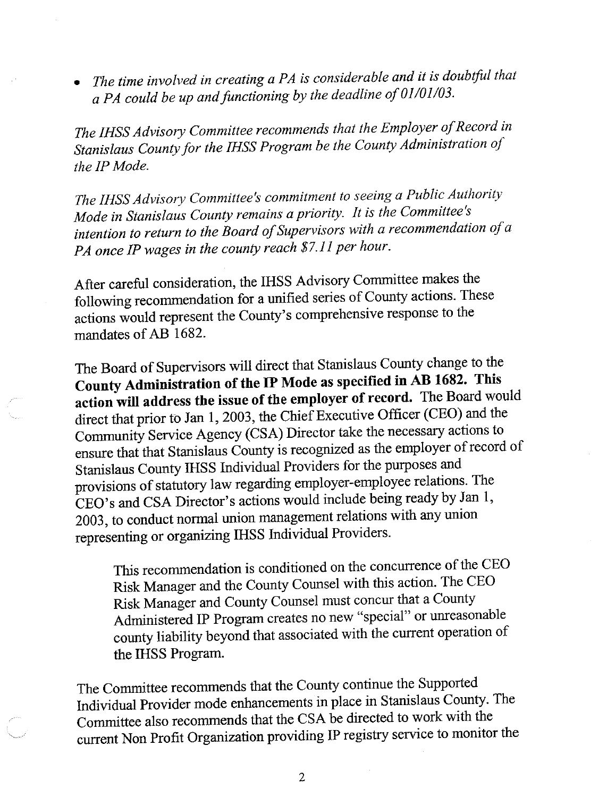The time involved in creating a PA is considerable and it is doubtful that a PA could be up and functioning by the deadline of 01/01/03.

The IHSS Advisory Committee recommends that the Employer of Record in Stanislaus County for the IHSS Program be the County Administration of the IP Mode.

The IHSS Advisory Committee's commitment to seeing a Public Authority Mode in Stanislaus County remains a priority. It is the Committee's intention to return to the Board of Supervisors with a recommendation of a PA once IP wages in the county reach \$7.11 per hour.

After careful consideration, the IHSS Advisory Committee makes the following recommendation for a unified series of County actions. These actions would represent the County's comprehensive response to the mandates of AB 1682.

The Board of Supervisors will direct that Stanislaus County change to the County Administration of the IP Mode as specified in AB 1682. This action will address the issue of the employer of record. The Board would direct that prior to Jan 1, 2003, the Chief Executive Officer (CEO) and the Community Service Agency (CSA) Director take the necessary actions to ensure that that Stanislaus County is recognized as the employer of record of Stanislaus County IHSS Individual Providers for the purposes and provisions of statutory law regarding employer-employee relations. The CEO's and CSA Director's actions would include being ready by Jan 1, 2003, to conduct normal union management relations with any union representing or organizing IHSS Individual Providers.

This recommendation is conditioned on the concurrence of the CEO Risk Manager and the County Counsel with this action. The CEO Risk Manager and County Counsel must concur that a County Administered IP Program creates no new "special" or unreasonable county liability beyond that associated with the current operation of the IHSS Program.

The Committee recommends that the County continue the Supported Individual Provider mode enhancements in place in Stanislaus County. The Committee also recommends that the CSA be directed to work with the current Non Profit Organization providing IP registry service to monitor the

 $\overline{2}$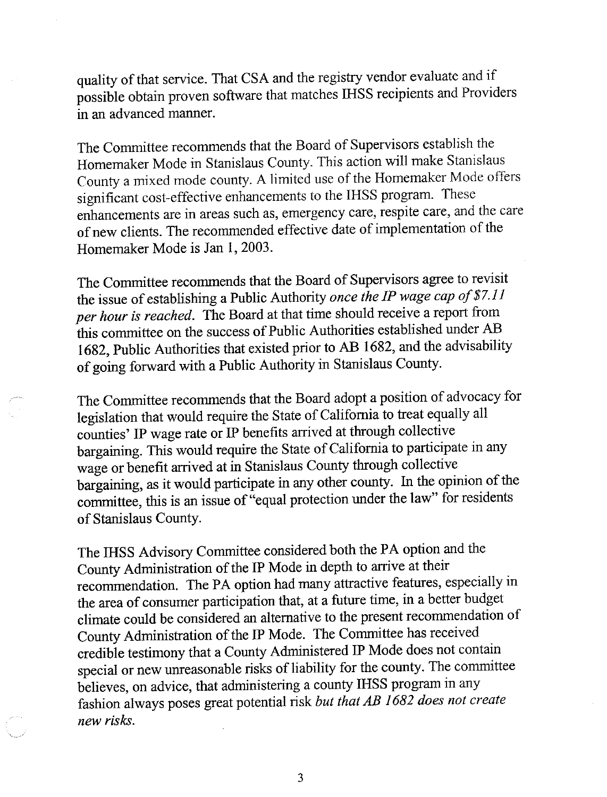quality of that service. That CSA and the registry vendor evaluate and if possible obtain proven software that matches IHSS recipients and Providers in an advanced manner.

The Committee recommends that the Board of Supervisors establish the Homemaker Mode in Stanislaus County. This action will make Stanislaus County a mixed mode county. A limited use of the Homemaker Mode offers significant cost-effective enhancements to the IHSS program. These enhancements are in areas such as, emergency care, respite care, and the care of new clients. The recommended effective date of implementation of the Homemaker Mode is Jan 1, 2003.

The Committee recommends that the Board of Supervisors agree to revisit the issue of establishing a Public Authority once the IP wage cap of \$7.11 per hour is reached. The Board at that time should receive a report from this committee on the success of Public Authorities established under AB 1682, Public Authorities that existed prior to AB 1682, and the advisability of going forward with a Public Authority in Stanislaus County.

The Committee recommends that the Board adopt a position of advocacy for legislation that would require the State of California to treat equally all counties' IP wage rate or IP benefits arrived at through collective bargaining. This would require the State of California to participate in any wage or benefit arrived at in Stanislaus County through collective bargaining, as it would participate in any other county. In the opinion of the committee, this is an issue of "equal protection under the law" for residents of Stanislaus County.

The IHSS Advisory Committee considered both the PA option and the County Administration of the IP Mode in depth to arrive at their recommendation. The PA option had many attractive features, especially in the area of consumer participation that, at a future time, in a better budget climate could be considered an alternative to the present recommendation of County Administration of the IP Mode. The Committee has received credible testimony that a County Administered IP Mode does not contain special or new unreasonable risks of liability for the county. The committee believes, on advice, that administering a county IHSS program in any fashion always poses great potential risk but that AB 1682 does not create new risks.